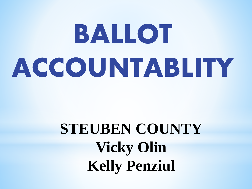# **BALLOT ACCOUNTABLITY**

### **STEUBEN COUNTY Vicky Olin Kelly Penziul**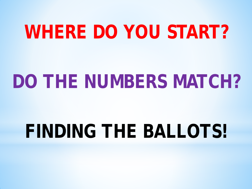### **WHERE DO YOU START?**

### **DO THE NUMBERS MATCH?**

### **FINDING THE BALLOTS!**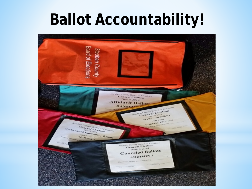### **Ballot Accountability!**

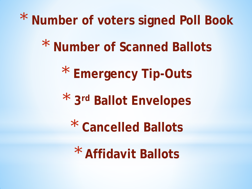\* **Number of voters signed Poll Book**

\* **Number of Scanned Ballots**

\* **Emergency Tip-Outs**

\* **3rd Ballot Envelopes**

\* **Cancelled Ballots**

\* **Affidavit Ballots**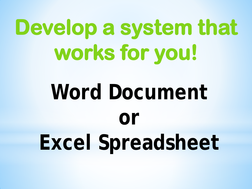## **Develop a system that works for you!**

## **Word Document or Excel Spreadsheet**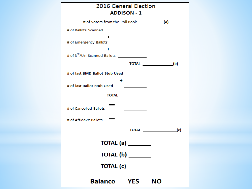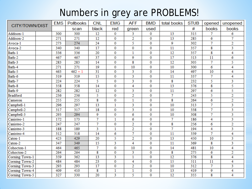#### Numbers in grey are PROBLEMS!

| CITY/TOWN/DIST  |  | <b>EMS</b> | <b>Pollbooks</b> | <b>CNL</b> | <b>EMG</b>  | <b>AFF</b>     | <b>BMD</b>     | total books       | <b>STUB</b> | opened | unopened       |
|-----------------|--|------------|------------------|------------|-------------|----------------|----------------|-------------------|-------------|--------|----------------|
|                 |  |            | scan             | black      | red         | green          | used           |                   | #           | books  | books          |
| Addison-1       |  | 300        | 300              | 12         | 0           | 3              | 0              | 13                | 315         | 7      | 6              |
| Addison-2       |  | 271        | 271              | 12         | $\bf{0}$    | $\overline{2}$ | 0              | 13                | 285         | 6      | $\overline{7}$ |
| Avoca-1         |  | 273        | 274              | 24         | 0           | 5              | 0              | 9                 | 302         | 7      | $\overline{2}$ |
| Avoca-2         |  | 340        | 340              | 17         | 0           | $\bf{0}$       | 0              | 11                | 357         | 8      | 3              |
| Bath-1          |  | 336        | 336              | 20         | 0           | 1              | 0              | 12                | 357         | 8      | 4              |
| Bath-2          |  | 467        | 467              | 37         | $\bf{0}$    | 9              | 0              | 17                | 513         | 11     | 6              |
| Bath-3          |  | 283        | 283              | 14         | 0           | 8              | 0              | 12                | 305         | 7      | 5              |
| Bath-4          |  | 271        | 271              | 19         | $\bf{0}$    | 10             | 0              | 10                | 300         | 6      | 4              |
| Bath-5          |  | 463        | $462 + 1$        | 31         | 0           | 3              | 0              | 14                | 497         | 10     | 4              |
| Bath-6          |  | 319        | 319              | 15         | 0           | 3              | 0              | 11                | 337         | 7      | 4              |
| Bath-7          |  | 224        | 224              | 5          | 0           | 3              | 0              | 8                 | 232         | 5      | 3              |
| Bath-8          |  | 358        | 358              | 14         | 0           | 4              | 0              | 13                | 376         | 8      | 5              |
| Bath-9          |  | 282        | 282              | 12         | $\bf{0}$    | 3              | 0              | 11                | 297         | 6      | 5.             |
| <b>Bradford</b> |  | 236        | 236              | 5          | $\mathbf 0$ | $\overline{2}$ | 0              | 7                 | 243         | 5      | $\overline{2}$ |
| Cameron         |  | 255        | 255              | 8          | 0           | $\mathbf{1}$   | 0              | 8                 | 264         | 6      | $\overline{2}$ |
| Campbell-1      |  | 296        | 297              | 13         | 1           | 3              | 0              | 10                | 313         | 7      | 3              |
| Campbell-2      |  | 317        | 317              | 18         | 0           | 3              | 0              | 10                | 338         | 7      | 3              |
| Campbell-3      |  | 293        | 294              | 9          | $\bf{0}$    | 6              | 0              | 10                | 308         | 7      | 3              |
| Canisteo-1      |  | 172        | 173              | 7          | 1           | 6              | 0              | $\overline{\tau}$ | 186         | 4      | 3              |
| Canisteo-2      |  | 247        | 247              | 7          | $\mathbf 0$ | $\overline{2}$ | 0              | 8                 | 256         | 6      | $\overline{2}$ |
| Canisteo-3      |  | 188        | 189              | 3          | 1           | $\overline{2}$ | 0              | 7                 | 194         | 4      | 3              |
| Canisteo-4      |  | 312        | 318              | 14         | 6           | 7              | 0              | 11                | 339         | 7      | 4              |
| Caton-1         |  | 423        | 429              | 20         | 5           | $\overline{2}$ | 0              | 13                | 450         | 10     | 3              |
| Caton-2         |  | 347        | 349              | 15         | 3           | 4              | 0              | 11                | 369         | 8      | 3              |
| Cohocton-1      |  | 464        | 465              | 7          | $\mathbf 0$ | 10             | 0              | 14                | 481         | 10     | 4              |
| Cohocton-2      |  | 264        | 264              | 8          | $\bf{0}$    | 3              | 0              | 8                 | 275         | 6      | $\overline{2}$ |
| Corning Town-1  |  | 359        | 362              | 13         | 3           | $\mathbf{1}$   | 0              | 12                | 376         | 8      | 4              |
| Corning Town-2  |  | 484        | 484              | 23         | 0           | 4              | 0              | 15                | 511         | 11     | 4              |
| Corning Town-3  |  | 293        | 293              | 17         | 0           | $\overline{2}$ | 0              | 10                | 312         | 7      | 3              |
| Corning Town-4  |  | 409        | 410              | 8          | 1           | $\mathbf{1}$   | 0              | 13                | 419         | 9      | 4              |
| Corning Town-5  |  | 327        | 330              | 20         | 3           | $\overline{5}$ | $\overline{0}$ | 12                | 355         | 8      | 4              |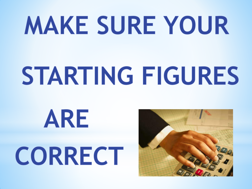## **MAKE SURE YOUR**

# STARTING FIGURES

# ARE CORRECT

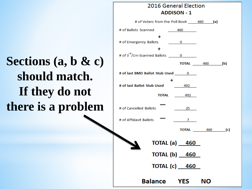#### **Sections (a, b & c) should match. If they do not there is a problem**

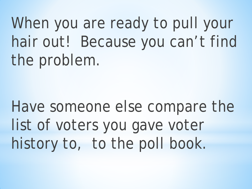When you are ready to pull your hair out! Because you can't find the problem.

Have someone else compare the list of voters you gave voter history to, to the poll book.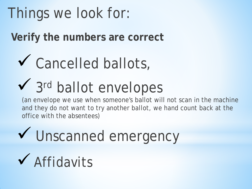### Things we look for:

**Verify the numbers are correct** 

### ◆ Cancelled ballots,

### ◆ 3rd ballot envelopes

(an envelope we use when someone's ballot will not scan in the machine and they do not want to try another ballot, we hand count back at the office with the absentees)

V Unscanned emergency Affidavits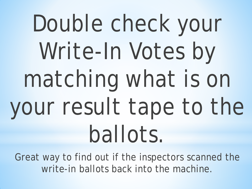## Double check your Write-In Votes by matching what is on your result tape to the ballots.

Great way to find out if the inspectors scanned the write-in ballots back into the machine.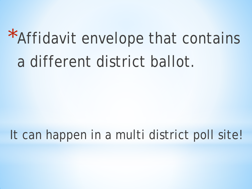### \*Affidavit envelope that contains a different district ballot.

#### It can happen in a multi district poll site!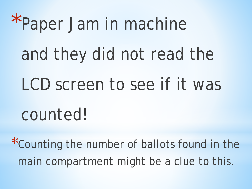\*Paper Jam in machine and they did not read the LCD screen to see if it was counted!

\*Counting the number of ballots found in the main compartment might be a clue to this.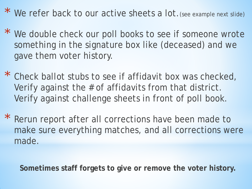\* We refer back to our active sheets a lot.(see example next slide)

- \* We double check our poll books to see if someone wrote something in the signature box like (deceased) and we gave them voter history.
- \* Check ballot stubs to see if affidavit box was checked, Verify against the # of affidavits from that district. Verify against challenge sheets in front of poll book.
- \* Rerun report after all corrections have been made to make sure everything matches, and all corrections were made.

**Sometimes staff forgets to give or remove the voter history.**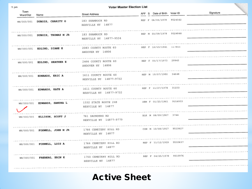| $21$ pm           |                                |                                                |                              |           |
|-------------------|--------------------------------|------------------------------------------------|------------------------------|-----------|
| Town<br>Ward/Dist | Name                           | Street Address                                 | AFF S Date of Birth Voter ID | Signature |
| WN/000/001        | DUBOIS, CHARITY G              | 183 SHAMROCK RD<br>REXVILLE NY 14877           | REP F 06/05/1979 9524542     |           |
|                   | WN/000/001 DUBOIS, THOMAS M JR | 183 SHAMROCK RD<br>REXVILLE NY 14877-9534      | REP M 05/09/1979 9524848     |           |
|                   | WN/000/001 EDLIND, DIANE E     | 2083 COUNTY ROUTE 6D<br>ANDOVER NY 14806       | REP F 12/15/1941 117855      |           |
|                   | WN/000/001 EDLIND, HEATHER E   | 2466 COUNTY ROUTE 60<br>ANDOVER NY 14806       | REP F 05/17/1973 29943       |           |
|                   | WN/000/001 EDWARDS, ERIC A     | 1611 COUNTY ROUTE 60<br>REXVILLE NY 14877-9732 | REP M 1D/07/1980 34648       |           |
|                   | WN/000/001 EDWARDS, KATE A     | 1611 COUNTY ROUTE 60<br>REXVILLE NY 14877-9732 | REP F 11/27/1978 31233       |           |
|                   | WN/000/001 EDWARDS, SANDRA L   | 1332 STATE ROUTE 248<br>REXVILLE NY 14877      | DEM F 01/25/1961 9516933     |           |
|                   | $W1/000/001$ ELLISON, SCOTT J  | 761 SAUNDERS RD<br>REXVILLE NY 14877-9779      | BLK M 08/09/1967 3744        |           |
|                   | WN/000/001 FOXWELL, JOHN M JR  | 1766 CEMETERY HILL RD<br>REXVILLE NY 14877     | CON M 10/08/1957 9510627     |           |
|                   | WN/000/001 FOXWELL, LOIS A     | 1766 CEMETERY HILL RD<br>REXVILLE NY 14877     | REP F 11/12/1959 9510637     |           |
|                   | WN/000/001 FREBERG, ERIN K     | 1750 CEMETERY HILL RD<br>REXVILLE NY 14877     | REP F 04/25/1978 9510976     |           |
|                   |                                |                                                |                              |           |

Active Sheet